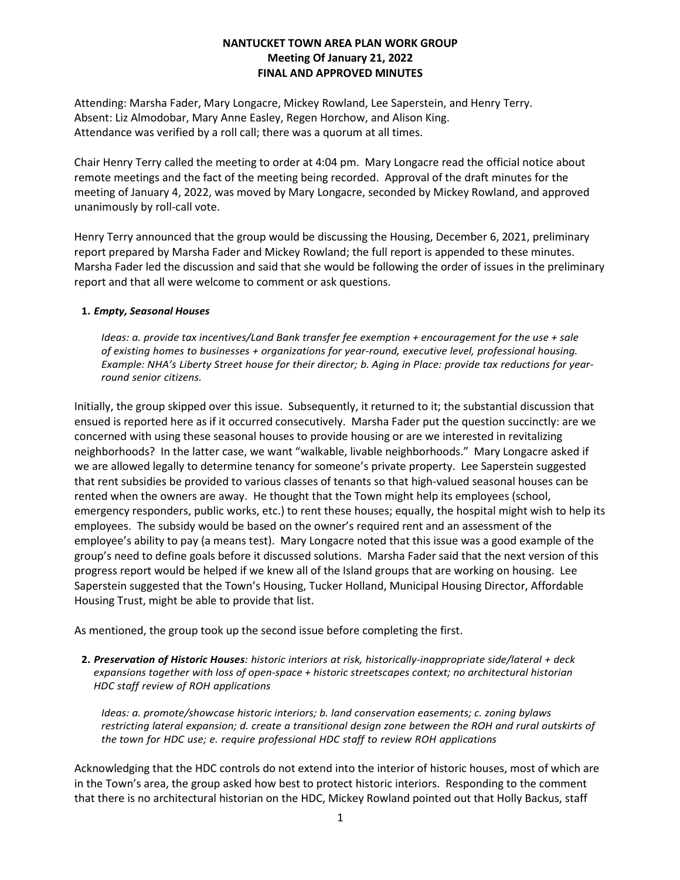# **NANTUCKET TOWN AREA PLAN WORK GROUP Meeting Of January 21, 2022 FINAL AND APPROVED MINUTES**

Attending: Marsha Fader, Mary Longacre, Mickey Rowland, Lee Saperstein, and Henry Terry. Absent: Liz Almodobar, Mary Anne Easley, Regen Horchow, and Alison King. Attendance was verified by a roll call; there was a quorum at all times.

Chair Henry Terry called the meeting to order at 4:04 pm. Mary Longacre read the official notice about remote meetings and the fact of the meeting being recorded. Approval of the draft minutes for the meeting of January 4, 2022, was moved by Mary Longacre, seconded by Mickey Rowland, and approved unanimously by roll-call vote.

Henry Terry announced that the group would be discussing the Housing, December 6, 2021, preliminary report prepared by Marsha Fader and Mickey Rowland; the full report is appended to these minutes. Marsha Fader led the discussion and said that she would be following the order of issues in the preliminary report and that all were welcome to comment or ask questions.

## **1.** *Empty, Seasonal Houses*

*Ideas: a. provide tax incentives/Land Bank transfer fee exemption + encouragement for the use + sale of existing homes to businesses + organizations for year-round, executive level, professional housing.* Example: NHA's Liberty Street house for their director; b. Aging in Place: provide tax reductions for year*round senior citizens.*

Initially, the group skipped over this issue. Subsequently, it returned to it; the substantial discussion that ensued is reported here as if it occurred consecutively. Marsha Fader put the question succinctly: are we concerned with using these seasonal houses to provide housing or are we interested in revitalizing neighborhoods? In the latter case, we want "walkable, livable neighborhoods." Mary Longacre asked if we are allowed legally to determine tenancy for someone's private property. Lee Saperstein suggested that rent subsidies be provided to various classes of tenants so that high-valued seasonal houses can be rented when the owners are away. He thought that the Town might help its employees (school, emergency responders, public works, etc.) to rent these houses; equally, the hospital might wish to help its employees. The subsidy would be based on the owner's required rent and an assessment of the employee's ability to pay (a means test). Mary Longacre noted that this issue was a good example of the group's need to define goals before it discussed solutions. Marsha Fader said that the next version of this progress report would be helped if we knew all of the Island groups that are working on housing. Lee Saperstein suggested that the Town's Housing, Tucker Holland, Municipal Housing Director, Affordable Housing Trust, might be able to provide that list.

As mentioned, the group took up the second issue before completing the first.

**2.** *Preservation of Historic Houses: historic interiors at risk, historically-inappropriate side/lateral + deck expansions together with loss of open-space + historic streetscapes context; no architectural historian HDC staff review of ROH applications*

*Ideas: a. promote/showcase historic interiors; b. land conservation easements; c. zoning bylaws restricting lateral expansion; d. create a transitional design zone between the ROH and rural outskirts of the town for HDC use; e. require professional HDC staff to review ROH applications*

Acknowledging that the HDC controls do not extend into the interior of historic houses, most of which are in the Town's area, the group asked how best to protect historic interiors. Responding to the comment that there is no architectural historian on the HDC, Mickey Rowland pointed out that Holly Backus, staff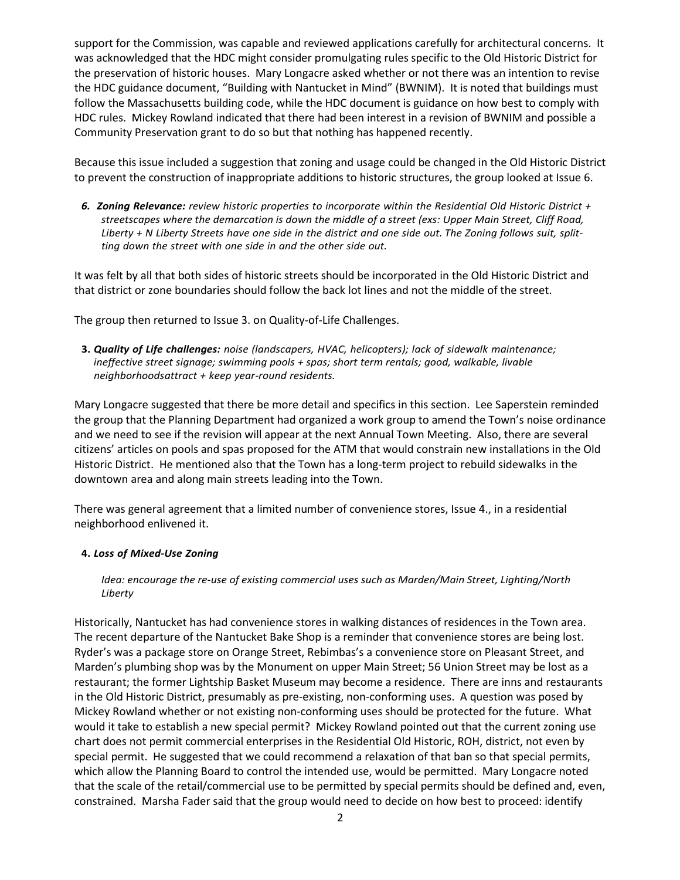support for the Commission, was capable and reviewed applications carefully for architectural concerns. It was acknowledged that the HDC might consider promulgating rules specific to the Old Historic District for the preservation of historic houses. Mary Longacre asked whether or not there was an intention to revise the HDC guidance document, "Building with Nantucket in Mind" (BWNIM). It is noted that buildings must follow the Massachusetts building code, while the HDC document is guidance on how best to comply with HDC rules. Mickey Rowland indicated that there had been interest in a revision of BWNIM and possible a Community Preservation grant to do so but that nothing has happened recently.

Because this issue included a suggestion that zoning and usage could be changed in the Old Historic District to prevent the construction of inappropriate additions to historic structures, the group looked at Issue 6.

*6. Zoning Relevance: review historic properties to incorporate within the Residential Old Historic District + streetscapes where the demarcation is down the middle of a street (exs: Upper Main Street, Cliff Road,* Liberty + N Liberty Streets have one side in the district and one side out. The Zoning follows suit, split*ting down the street with one side in and the other side out.*

It was felt by all that both sides of historic streets should be incorporated in the Old Historic District and that district or zone boundaries should follow the back lot lines and not the middle of the street.

The group then returned to Issue 3. on Quality-of-Life Challenges.

**3.** *Quality of Life challenges: noise (landscapers, HVAC, helicopters); lack of sidewalk maintenance; ineffective street signage; swimming pools + spas; short term rentals; good, walkable, livable neighborhoodsattract + keep year-round residents.*

Mary Longacre suggested that there be more detail and specifics in this section. Lee Saperstein reminded the group that the Planning Department had organized a work group to amend the Town's noise ordinance and we need to see if the revision will appear at the next Annual Town Meeting. Also, there are several citizens' articles on pools and spas proposed for the ATM that would constrain new installations in the Old Historic District. He mentioned also that the Town has a long-term project to rebuild sidewalks in the downtown area and along main streets leading into the Town.

There was general agreement that a limited number of convenience stores, Issue 4., in a residential neighborhood enlivened it.

# **4.** *Loss of Mixed-Use Zoning*

*Idea: encourage the re-use of existing commercial uses such as Marden/Main Street, Lighting/North Liberty*

Historically, Nantucket has had convenience stores in walking distances of residences in the Town area. The recent departure of the Nantucket Bake Shop is a reminder that convenience stores are being lost. Ryder's was a package store on Orange Street, Rebimbas's a convenience store on Pleasant Street, and Marden's plumbing shop was by the Monument on upper Main Street; 56 Union Street may be lost as a restaurant; the former Lightship Basket Museum may become a residence. There are inns and restaurants in the Old Historic District, presumably as pre-existing, non-conforming uses. A question was posed by Mickey Rowland whether or not existing non-conforming uses should be protected for the future. What would it take to establish a new special permit? Mickey Rowland pointed out that the current zoning use chart does not permit commercial enterprises in the Residential Old Historic, ROH, district, not even by special permit. He suggested that we could recommend a relaxation of that ban so that special permits, which allow the Planning Board to control the intended use, would be permitted. Mary Longacre noted that the scale of the retail/commercial use to be permitted by special permits should be defined and, even, constrained. Marsha Fader said that the group would need to decide on how best to proceed: identify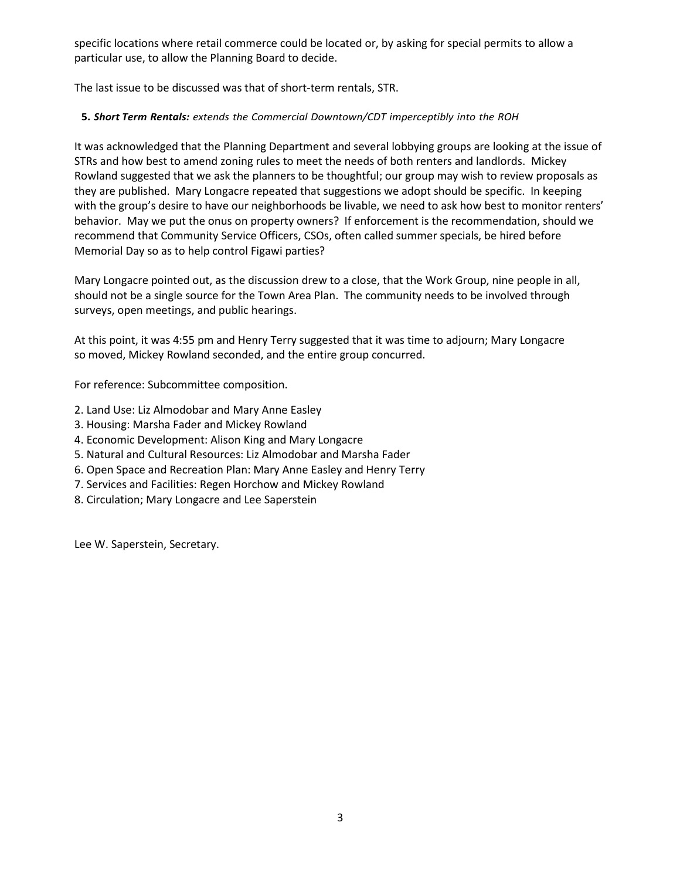specific locations where retail commerce could be located or, by asking for special permits to allow a particular use, to allow the Planning Board to decide.

The last issue to be discussed was that of short-term rentals, STR.

# **5.** *Short Term Rentals: extends the Commercial Downtown/CDT imperceptibly into the ROH*

It was acknowledged that the Planning Department and several lobbying groups are looking at the issue of STRs and how best to amend zoning rules to meet the needs of both renters and landlords. Mickey Rowland suggested that we ask the planners to be thoughtful; our group may wish to review proposals as they are published. Mary Longacre repeated that suggestions we adopt should be specific. In keeping with the group's desire to have our neighborhoods be livable, we need to ask how best to monitor renters' behavior. May we put the onus on property owners? If enforcement is the recommendation, should we recommend that Community Service Officers, CSOs, often called summer specials, be hired before Memorial Day so as to help control Figawi parties?

Mary Longacre pointed out, as the discussion drew to a close, that the Work Group, nine people in all, should not be a single source for the Town Area Plan. The community needs to be involved through surveys, open meetings, and public hearings.

At this point, it was 4:55 pm and Henry Terry suggested that it was time to adjourn; Mary Longacre so moved, Mickey Rowland seconded, and the entire group concurred.

For reference: Subcommittee composition.

- 2. Land Use: Liz Almodobar and Mary Anne Easley
- 3. Housing: Marsha Fader and Mickey Rowland
- 4. Economic Development: Alison King and Mary Longacre
- 5. Natural and Cultural Resources: Liz Almodobar and Marsha Fader
- 6. Open Space and Recreation Plan: Mary Anne Easley and Henry Terry
- 7. Services and Facilities: Regen Horchow and Mickey Rowland
- 8. Circulation; Mary Longacre and Lee Saperstein

Lee W. Saperstein, Secretary.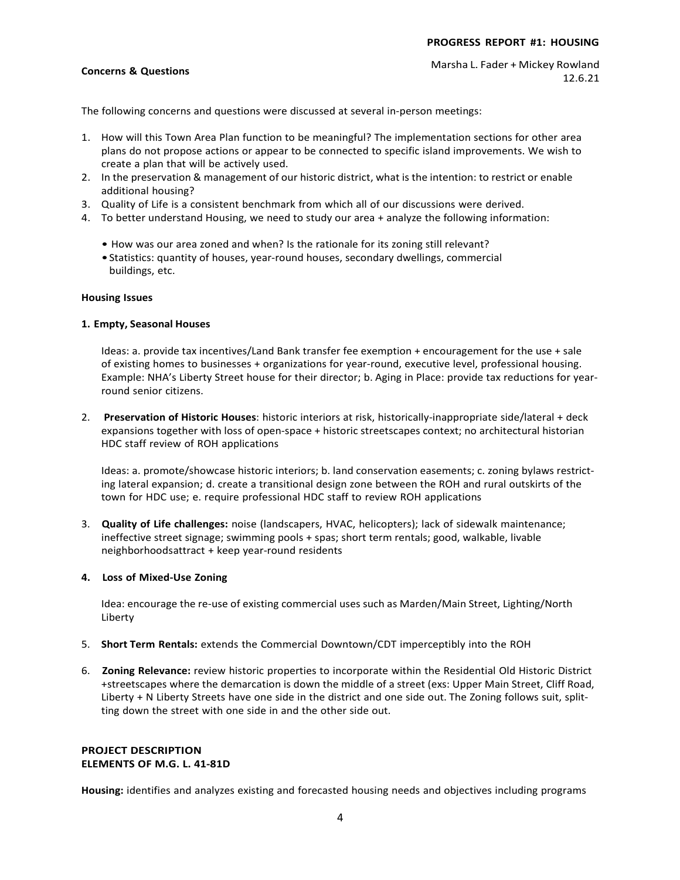## **Concerns & Questions**

The following concerns and questions were discussed at several in-person meetings:

- 1. How will this Town Area Plan function to be meaningful? The implementation sections for other area plans do not propose actions or appear to be connected to specific island improvements. We wish to create a plan that will be actively used.
- 2. In the preservation & management of our historic district, what is the intention: to restrict or enable additional housing?
- 3. Quality of Life is a consistent benchmark from which all of our discussions were derived.
- 4. To better understand Housing, we need to study our area + analyze the following information:
	- How was our area zoned and when? Is the rationale for its zoning still relevant?
	- •Statistics: quantity of houses, year-round houses, secondary dwellings, commercial buildings, etc.

#### **Housing Issues**

### **1. Empty, Seasonal Houses**

Ideas: a. provide tax incentives/Land Bank transfer fee exemption + encouragement for the use + sale of existing homes to businesses + organizations for year-round, executive level, professional housing. Example: NHA's Liberty Street house for their director; b. Aging in Place: provide tax reductions for yearround senior citizens.

2. **Preservation of Historic Houses**: historic interiors at risk, historically-inappropriate side/lateral + deck expansions together with loss of open-space + historic streetscapes context; no architectural historian HDC staff review of ROH applications

Ideas: a. promote/showcase historic interiors; b. land conservation easements; c. zoning bylaws restricting lateral expansion; d. create a transitional design zone between the ROH and rural outskirts of the town for HDC use; e. require professional HDC staff to review ROH applications

3. **Quality of Life challenges:** noise (landscapers, HVAC, helicopters); lack of sidewalk maintenance; ineffective street signage; swimming pools + spas; short term rentals; good, walkable, livable neighborhoodsattract + keep year-round residents

#### **4. Loss of Mixed-Use Zoning**

Idea: encourage the re-use of existing commercial uses such as Marden/Main Street, Lighting/North Liberty

- 5. **Short Term Rentals:** extends the Commercial Downtown/CDT imperceptibly into the ROH
- 6. **Zoning Relevance:** review historic properties to incorporate within the Residential Old Historic District +streetscapes where the demarcation is down the middle of a street (exs: Upper Main Street, Cliff Road, Liberty + N Liberty Streets have one side in the district and one side out. The Zoning follows suit, splitting down the street with one side in and the other side out.

## **PROJECT DESCRIPTION ELEMENTS OF M.G. L. 41-81D**

**Housing:** identifies and analyzes existing and forecasted housing needs and objectives including programs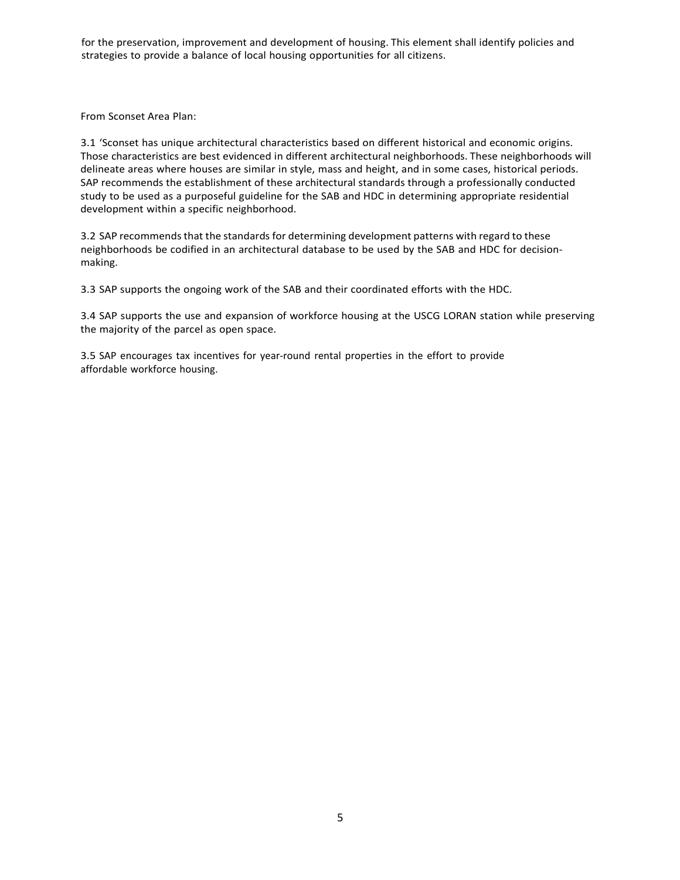for the preservation, improvement and development of housing. This element shall identify policies and strategies to provide a balance of local housing opportunities for all citizens.

From Sconset Area Plan:

3.1 'Sconset has unique architectural characteristics based on different historical and economic origins. Those characteristics are best evidenced in different architectural neighborhoods. These neighborhoods will delineate areas where houses are similar in style, mass and height, and in some cases, historical periods. SAP recommends the establishment of these architectural standards through a professionally conducted study to be used as a purposeful guideline for the SAB and HDC in determining appropriate residential development within a specific neighborhood.

3.2 SAP recommendsthat the standards for determining development patterns with regard to these neighborhoods be codified in an architectural database to be used by the SAB and HDC for decisionmaking.

3.3 SAP supports the ongoing work of the SAB and their coordinated efforts with the HDC.

3.4 SAP supports the use and expansion of workforce housing at the USCG LORAN station while preserving the majority of the parcel as open space.

3.5 SAP encourages tax incentives for year-round rental properties in the effort to provide affordable workforce housing.